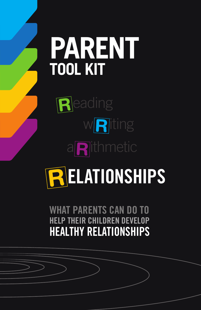# **PARENT TOOL KIT**

w**R**iting a**R**ithmetic **R**eading **R**ELATIONSHIPS

WHAT PARENTS CAN DO TO HELP THEIR CHILDREN DEVELOP HEALTHY RELATIONSHIPS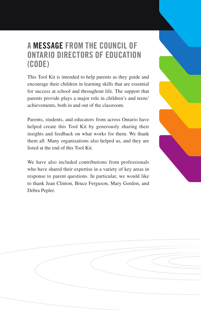### A MESSAGE FROM THE COUNCIL OF ONTARIO DIRECTORS OF EDUCATION (CODE)

This Tool Kit is intended to help parents as they guide and encourage their children in learning skills that are essential for success at school and throughout life. The support that parents provide plays a major role in children's and teens' achievements, both in and out of the classroom.

Parents, students, and educators from across Ontario have helped create this Tool Kit by generously sharing their insights and feedback on what works for them. We thank them all. Many organizations also helped us, and they are listed at the end of this Tool Kit.

We have also included contributions from professionals who have shared their expertise in a variety of key areas in response to parent questions. In particular, we would like to thank Jean Clinton, Bruce Ferguson, Mary Gordon, and Debra Pepler.

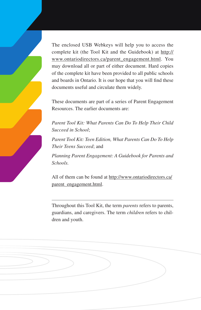The enclosed USB Webkeys will help you to access the complete kit (the Tool Kit and the Guidebook) at http:// www.ontariodirectors.ca/parent\_engagement.html. You may download all or part of either document. Hard copies of the complete kit have been provided to all public schools and boards in Ontario. It is our hope that you will find these documents useful and circulate them widely.

These documents are part of a series of Parent Engagement Resources. The earlier documents are:

*Parent Tool Kit: What Parents Can Do To Help Their Child Succeed in School*;

*Parent Tool Kit: Teen Edition, What Parents Can Do To Help Their Teens Succeed*; and

*Planning Parent Engagement: A Guidebook for Parents and Schools.*

[All of them can be found at http://www.ontariodirectors.ca/](http://www.ontariodirectors.ca/parent_engagement.html) parent engagement.html.

Throughout this Tool Kit, the term *parents* refers to parents, guardians, and caregivers. The term *children* refers to children and youth.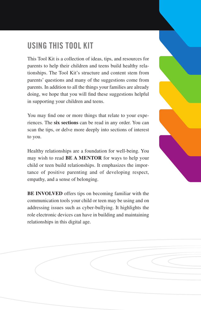### USING THIS TOOL KIT

This Tool Kit is a collection of ideas, tips, and resources for parents to help their children and teens build healthy relationships. The Tool Kit's structure and content stem from parents' questions and many of the suggestions come from parents. In addition to all the things your families are already doing, we hope that you will find these suggestions helpful in supporting your children and teens.

You may find one or more things that relate to your experiences. The **six sections** can be read in any order. You can scan the tips, or delve more deeply into sections of interest to you.

Healthy relationships are a foundation for well-being. You may wish to read **BE A MENTOR** for ways to help your child or teen build relationships. It emphasizes the importance of positive parenting and of developing respect, empathy, and a sense of belonging.

**BE INVOLVED** offers tips on becoming familiar with the communication tools your child or teen may be using and on addressing issues such as cyber-bullying. It highlights the role electronic devices can have in building and maintaining relationships in this digital age.

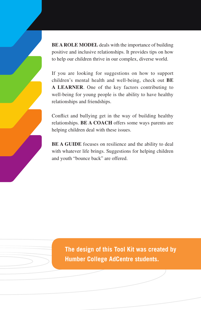**BE A ROLE MODEL** deals with the importance of building positive and inclusive relationships. It provides tips on how to help our children thrive in our complex, diverse world.

If you are looking for suggestions on how to support children's mental health and well-being, check out **BE A LEARNER**. One of the key factors contributing to well-being for young people is the ability to have healthy relationships and friendships.

Conflict and bullying get in the way of building healthy relationships. **BE A COACH** offers some ways parents are helping children deal with these issues.

**BE A GUIDE** focuses on resilience and the ability to deal with whatever life brings. Suggestions for helping children and youth "bounce back" are offered.

> **The design of this Tool Kit was created by Humber College AdCentre students.**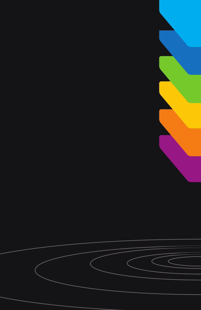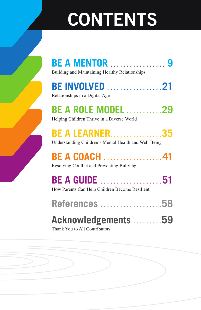# **CONTENTS**

| <b>BE A MENTOR</b><br>Building and Maintaining Healthy Relationships             |
|----------------------------------------------------------------------------------|
| <b>BE INVOLVED</b> 21<br>Relationships in a Digital Age                          |
| <b>BE A ROLE MODEL 29</b><br>Helping Children Thrive in a Diverse World          |
| <b>BE A LEARNER. 35</b><br>Understanding Children's Mental Health and Well-Being |
| <b>BE A COACH 41</b><br>Resolving Conflict and Preventing Bullying               |
| BE A GUIDE  51<br>How Parents Can Help Children Become Resilient                 |
| References 58                                                                    |
| Acknowledgements 59<br>Thank You to All Contributors                             |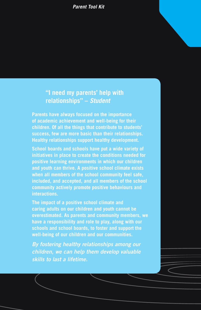#### *Parent Tool Kit*

#### **"I need my parents' help with relationships" –** *Student*

**Parents have always focused on the importance of academic achievement and well-being for their children. Of all the things that contribute to students' success, few are more basic than their relationships. Healthy relationships support healthy development.**

**School boards and schools have put a wide variety of initiatives in place to create the conditions needed for positive learning environments in which our children and youth can thrive. A positive school climate exists when all members of the school community feel safe, included, and accepted, and all members of the school community actively promote positive behaviours and interactions.**

**The impact of a positive school climate and caring adults on our children and youth cannot be overestimated. As parents and community members, we have a responsibility and role to play, along with our schools and school boards, to foster and support the well-being of our children and our communities.**

*By fostering healthy relationships among our children, we can help them develop valuable skills to last a lifetime.*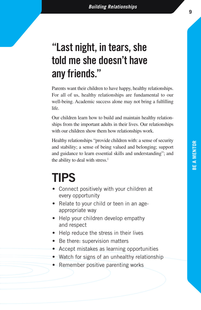### "Last night, in tears, she told me she doesn't have any friends."

Parents want their children to have happy, healthy relationships. For all of us, healthy relationships are fundamental to our well-being. Academic success alone may not bring a fulfilling life.

Our children learn how to build and maintain healthy relationships from the important adults in their lives. Our relationships with our children show them how relationships work.

Healthy relationships "provide children with: a sense of security and stability; a sense of being valued and belonging; support and guidance to learn essential skills and understanding"; and the ability to deal with stress.<sup>1</sup>

# **TIPS**

- Connect positively with your children at every opportunity
- Relate to your child or teen in an ageappropriate way
- Help your children develop empathy and respect
- Help reduce the stress in their lives
- Be there: supervision matters
- Accept mistakes as learning opportunities
- Watch for signs of an unhealthy relationship
- Remember positive parenting works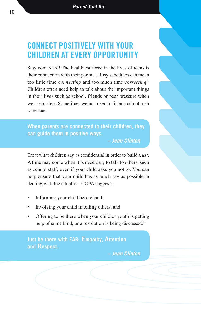#### CONNECT POSITIVELY WITH YOUR CHILDREN AT EVERY OPPORTUNITY

Stay connected! The healthiest force in the lives of teens is their connection with their parents. Busy schedules can mean too little time *connecting* and too much time *correcting*. 2 Children often need help to talk about the important things in their lives such as school, friends or peer pressure when we are busiest. Sometimes we just need to listen and not rush to rescue.

**When parents are connected to their children, they can guide them in positive ways.**

**–** *Jean Clinton*

Treat what children say as confidential in order to build *trust*. A time may come when it is necessary to talk to others, such as school staff, even if your child asks you not to. You can help ensure that your child has as much say as possible in dealing with the situation. COPA suggests:

- Informing your child beforehand;
- Involving your child in telling others; and
- Offering to be there when your child or youth is getting help of some kind, or a resolution is being discussed.<sup>3</sup>

**Just be there with EAR: Empathy, Attention and Respect.**

**–** *Jean Clinton*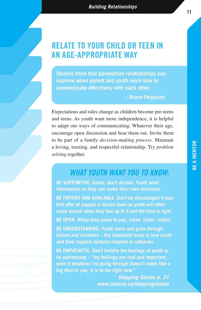#### RELATE TO YOUR CHILD OR TEEN IN AN AGE-APPROPRIATE WAY

**Studies show that parent/teen relationships can improve when parent and youth learn how to communicate effectively with each other.**

**–** *Bruce Ferguson*

Expectations and rules change as children become pre-teens and teens. As youth want more independence, it is helpful to adapt our ways of communicating. Whatever their age, encourage open discussion and hear them out. Invite them to be part of a family *decision-making process*. Maintain a loving, trusting, and respectful relationship. Try *problem solving* together.

#### WHAT YOUTH WANT YOU TO KNOW:

**BE SUPPORTIVE. Guide, don't dictate. Youth want information so they can make their own decisions.**

**BE PATIENT AND AVAILABLE. Don't be discouraged if your** first offer of support is turned down as youth will often **come around when they feel up to it and the time is right.**

**BE OPEN. When they come to you, listen, listen, listen!**

**BE UNDERSTANDING. Youth learn and grow through failure and mistakes – the important issue is how youth and their support systems respond to setbacks.**

**BE EMPATHETIC. Don't belittle the feelings of youth or be patronizing – "my feelings are real and important, even if whatever I'm going through doesn't seem like a big deal to you, it is to me right now."**

> *Stepping Stones p. 31 www.ontario.ca/steppingstones*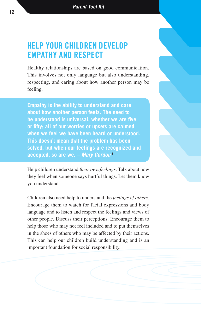#### HELP YOUR CHILDREN DEVELOP EMPATHY AND RESPECT

Healthy relationships are based on good communication. This involves not only language but also understanding, respecting, and caring about how another person may be feeling.

**Empathy is the ability to understand and care about how another person feels. The need to** be understood is universal, whether we are five **or fi fty; all of our worries or upsets are calmed when we feel we have been heard or understood. This doesn't mean that the problem has been solved, but when our feelings are recognized and accepted, so are we. –** *Mary Gordon* <sup>4</sup>

Help children understand *their own feelings*. Talk about how they feel when someone says hurtful things. Let them know you understand.

Children also need help to understand the *feelings of others*. Encourage them to watch for facial expressions and body language and to listen and respect the feelings and views of other people. Discuss their perceptions. Encourage them to help those who may not feel included and to put themselves in the shoes of others who may be affected by their actions. This can help our children build understanding and is an important foundation for social responsibility.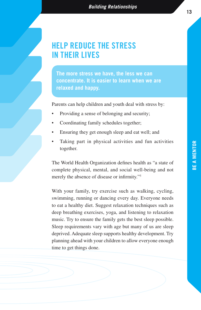### HELP REDUCE THE STRESS IN THEIR LIVES

**The more stress we have, the less we can concentrate. It is easier to learn when we are relaxed and happy.**

Parents can help children and youth deal with stress by:

- Providing a sense of belonging and security;
- Coordinating family schedules together;
- Ensuring they get enough sleep and eat well; and
- Taking part in physical activities and fun activities together.

The World Health Organization defines health as "a state of complete physical, mental, and social well-being and not merely the absence of disease or infirmity."<sup>5</sup>

With your family, try exercise such as walking, cycling, swimming, running or dancing every day. Everyone needs to eat a healthy diet. Suggest relaxation techniques such as deep breathing exercises, yoga, and listening to relaxation music. Try to ensure the family gets the best sleep possible. Sleep requirements vary with age but many of us are sleep deprived. Adequate sleep supports healthy development. Try planning ahead with your children to allow everyone enough time to get things done.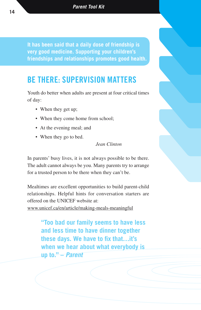**It has been said that a daily dose of friendship is very good medicine. Supporting your children's friendships and relationships promotes good health.**

#### BE THERE: SUPERVISION MATTERS

Youth do better when adults are present at four critical times of day:

- When they get up;
- When they come home from school;
- At the evening meal; and
- When they go to bed.

*Jean Clinton*

In parents' busy lives, it is not always possible to be there. The adult cannot always be you. Many parents try to arrange for a trusted person to be there when they can't be.

Mealtimes are excellent opportunities to build parent-child relationships. Helpful hints for conversation starters are offered on the UNICEF website at:

www.unicef.ca/en/article/making-meals-meaningful

**"Too bad our family seems to have less and less time to have dinner together** these days. We have to fix that...it's **when we hear about what everybody is up to." –** *Parent*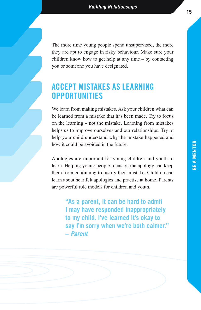The more time young people spend unsupervised, the more they are apt to engage in risky behaviour. Make sure your children know how to get help at any time – by contacting you or someone you have designated.

### ACCEPT MISTAKES AS LEARNING **OPPORTUNITIES**

We learn from making mistakes. Ask your children what can be learned from a mistake that has been made. Try to focus on the learning – not the mistake. Learning from mistakes helps us to improve ourselves and our relationships. Try to help your child understand why the mistake happened and how it could be avoided in the future.

Apologies are important for young children and youth to learn. Helping young people focus on the apology can keep them from continuing to justify their mistake. Children can learn about heartfelt apologies and practise at home. Parents are powerful role models for children and youth.

> **"As a parent, it can be hard to admit I may have responded inappropriately to my child. I've learned it's okay to say I'm sorry when we're both calmer." –** *Parent*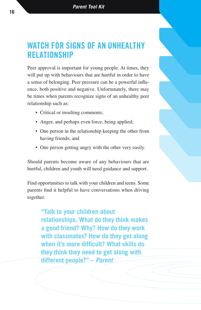#### WATCH FOR SIGNS OF AN UNHEALTHY RELATIONSHIP

Peer approval is important for young people. At times, they will put up with behaviours that are hurtful in order to have a sense of belonging. Peer pressure can be a powerful influence, both positive and negative. Unfortunately, there may be times when parents recognize signs of an unhealthy peer relationship such as:

- Critical or insulting comments;
- Anger, and perhaps even force, being applied;
- One person in the relationship keeping the other from having friends; and
- One person getting angry with the other very easily.

Should parents become aware of any behaviours that are hurtful, children and youth will need guidance and support.

Find opportunities to talk with your children and teens. Some parents find it helpful to have conversations when driving together.

> **"Talk to your children about relationships. What do they think makes a good friend? Why? How do they work with classmates? How do they get along when it's more difficult? What skills do they think they need to get along with different people?" –** *Parent*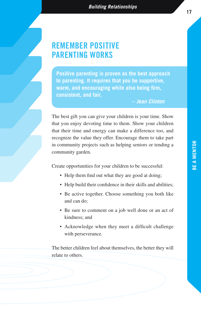### REMEMBER POSITIVE PARENTING WORKS

**Positive parenting is proven as the best approach to parenting. It requires that you be supportive,** warm, and encouraging while also being firm, **consistent, and fair.**

**–** *Jean Clinton*

The best gift you can give your children is your time. Show that you enjoy devoting time to them. Show your children that their time and energy can make a difference too, and recognize the value they offer. Encourage them to take part in community projects such as helping seniors or tending a community garden.

Create opportunities for your children to be successful:

- Help them find out what they are good at doing;
- Help build their confidence in their skills and abilities;
- Be active together. Choose something you both like and can do;
- Be sure to comment on a job well done or an act of kindness; and
- Acknowledge when they meet a difficult challenge with perseverance.

The better children feel about themselves, the better they will relate to others.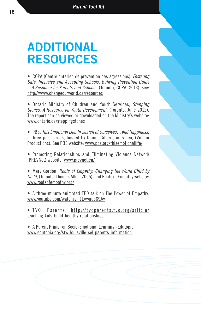### **ADDITIONAL RESOURCES**

• COPA (Centre ontarien de prévention des agressions), Fostering Safe, Inclusive and Accepting Schools, Bullying Prevention Guide – A Resource for Parents and Schools, (Toronto, COPA, 2013), see: http://www.changeourworld.ca/resources

• Ontario Ministry of Children and Youth Services, Stepping Stones: A Resource on Youth Development, (Toronto: June 2012). The report can be viewed or downloaded on the Ministry's website: www.ontario.ca/steppingstones

• PBS, This Emotional Life: In Search of Ourselves... and Happiness, a three-part series, hosted by Daniel Gilbert, on video, (Vulcan Productions). See PBS website: www.pbs.org/thisemotionallife/

• Promoting Relationships and Eliminating Violence Network (PREVNet) website: www.prevnet.ca/

• Mary Gordon, Roots of Empathy: Changing the World Child by Child, (Toronto: Thomas Allen, 2005), and Roots of Empathy website: www.rootsofempathy.org/

• A three-minute animated TED talk on The Power of Empathy. www.youtube.com/watch?v=1Evwgu369Jw

• TVO Parents [http://tvoparents.tvo.org/article/](http://tvoparents.tvo.org/article/teaching-kids-build-healthy-relationships) teaching-kids-build-healthy-relationships

• A Parent Primer on Socio-Emotional Learning -Edutopia www.edutopia.org/stw-louisville-sel-parents-information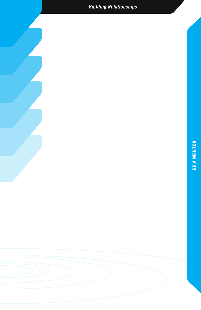*Building Relationships*

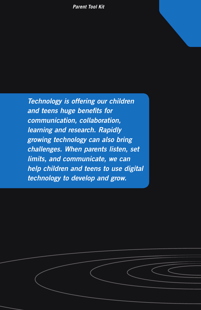*Parent Tool Kit*

*Technology is offering our children* and teens huge benefits for *communication, collaboration, learning and research. Rapidly growing technology can also bring challenges. When parents listen, set limits, and communicate, we can help children and teens to use digital technology to develop and grow.*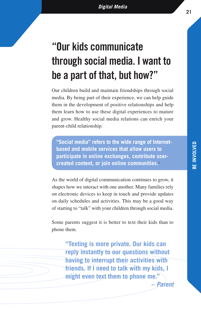# "Our kids communicate through social media. I want to be a part of that, but how?"

Our children build and maintain friendships through social media. By being part of their experience, we can help guide them in the development of positive relationships and help them learn how to use these digital experiences to mature and grow. Healthy social media relations can enrich your parent-child relationship.

**"Social media" refers to the wide range of Internetbased and mobile services that allow users to participate in online exchanges, contribute usercreated content, or join online communities.**<sup>1</sup>

As the world of digital communication continues to grow, it shapes how we interact with one another. Many families rely on electronic devices to keep in touch and provide updates on daily schedules and activities. This may be a good way of starting to "talk" with your children through social media.

Some parents suggest it is better to text their kids than to phone them.

> **"Texting is more private. Our kids can reply instantly to our questions without having to interrupt their activities with friends. If I need to talk with my kids, I might even text them to phone me."**

**21**

**–** *Parent*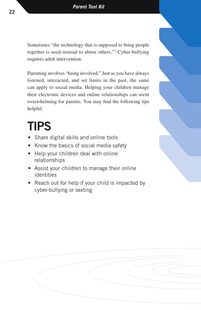Sometimes "the technology that is supposed to bring people together is used instead to abuse others."<sup>2</sup> Cyber-bullying requires adult intervention.

Parenting involves "being involved." Just as you have always listened, interacted, and set limits in the past, the same can apply to social media. Helping your children manage their electronic devices and online relationships can seem overwhelming for parents. You may find the following tips helpful.

# **TIPS**

**22**

- Share digital skills and online tools
- Know the basics of social media safety
- Help your children deal with online relationships
- Assist your children to manage their online identities
- Reach out for help if your child is impacted by cyber-bullying or sexting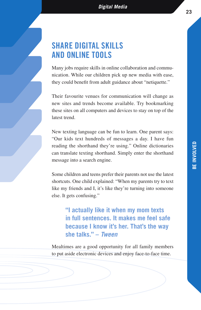### SHARE DIGITAL SKILLS AND ONLINE TOOLS

Many jobs require skills in online collaboration and communication. While our children pick up new media with ease, they could benefit from adult guidance about "netiquette."

Their favourite venues for communication will change as new sites and trends become available. Try bookmarking these sites on all computers and devices to stay on top of the latest trend.

New texting language can be fun to learn. One parent says: "Our kids text hundreds of messages a day. I have fun reading the shorthand they're using." Online dictionaries can translate texting shorthand. Simply enter the shorthand message into a search engine.

Some children and teens prefer their parents not use the latest shortcuts. One child explained: "When my parents try to text like my friends and I, it's like they're turning into someone else. It gets confusing."

> **"I actually like it when my mom texts in full sentences. It makes me feel safe because I know it's her. That's the way she talks." –** *Tween*

Mealtimes are a good opportunity for all family members to put aside electronic devices and enjoy face-to-face time.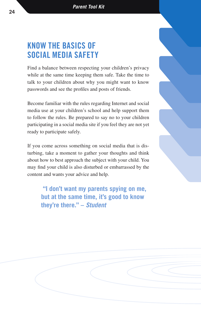#### KNOW THE BASICS OF SOCIAL MEDIA SAFFTY

Find a balance between respecting your children's privacy while at the same time keeping them safe. Take the time to talk to your children about why you might want to know passwords and see the profiles and posts of friends.

Become familiar with the rules regarding Internet and social media use at your children's school and help support them to follow the rules. Be prepared to say no to your children participating in a social media site if you feel they are not yet ready to participate safely.

If you come across something on social media that is disturbing, take a moment to gather your thoughts and think about how to best approach the subject with your child. You may find your child is also disturbed or embarrassed by the content and wants your advice and help.

> **"I don't want my parents spying on me, but at the same time, it's good to know they're there." –** *Student*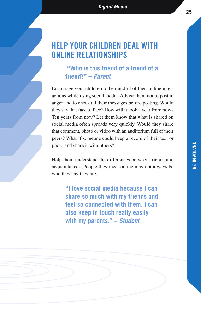### HELP YOUR CHILDREN DEAL WITH ONLINE RELATIONSHIPS

#### **"Who is this friend of a friend of a friend?" –** *Parent*

Encourage your children to be mindful of their online interactions while using social media. Advise them not to post in anger and to check all their messages before posting. Would they say that face to face? How will it look a year from now? Ten years from now? Let them know that what is shared on social media often spreads very quickly. Would they share that comment, photo or video with an auditorium full of their peers? What if someone could keep a record of their text or photo and share it with others?

Help them understand the differences between friends and acquaintances. People they meet online may not always be who they say they are.

> **"I love social media because I can share so much with my friends and feel so connected with them. I can also keep in touch really easily with my parents." –** *Student*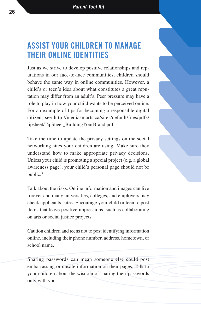### ASSIST YOUR CHILDREN TO MANAGE THEIR ONLINE IDENTITIES

Just as we strive to develop positive relationships and reputations in our face-to-face communities, children should behave the same way in online communities. However, a child's or teen's idea about what constitutes a great reputation may differ from an adult's. Peer pressure may have a role to play in how your child wants to be perceived online. For an example of tips for becoming a responsible digital citizen, see http://mediasmarts.ca/sites/default/files/pdfs/ tipsheet/TipSheet\_BuildingYourBrand.pdf.

Take the time to update the privacy settings on the social networking sites your children are using. Make sure they understand how to make appropriate privacy decisions. Unless your child is promoting a special project (e.g. a global awareness page), your child's personal page should not be public.<sup>3</sup>

Talk about the risks. Online information and images can live forever and many universities, colleges, and employers may check applicants' sites. Encourage your child or teen to post items that leave positive impressions, such as collaborating on arts or social justice projects.

Caution children and teens not to post identifying information online, including their phone number, address, hometown, or school name.

Sharing passwords can mean someone else could post embarrassing or unsafe information on their pages. Talk to your children about the wisdom of sharing their passwords only with you.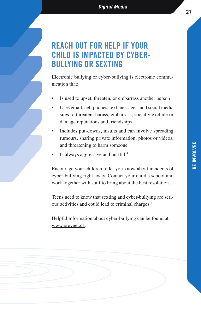### REACH OUT FOR HELP IF YOUR CHILD IS IMPACTED BY CYBER-BULLYING OR SEXTING

Electronic bullying or cyber-bullying is electronic communication that:

- Is used to upset, threaten, or embarrass another person
- Uses email, cell phones, text messages, and social media sites to threaten, harass, embarrass, socially exclude or damage reputations and friendships
- Includes put-downs, insults and can involve spreading rumours, sharing private information, photos or videos, and threatening to harm someone
- Is always aggressive and hurtful.<sup>4</sup>

Encourage your children to let you know about incidents of cyber-bullying right away. Contact your child's school and work together with staff to bring about the best resolution.

Teens need to know that sexting and cyber-bullying are serious activities and could lead to criminal charges.<sup>5</sup>

Helpful information about cyber-bullying can be found at www.prevnet.ca.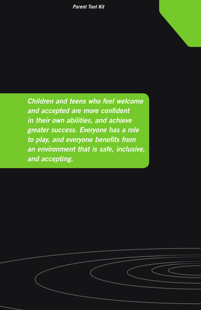*Parent Tool Kit*

*Children and teens who feel welcome* and accepted are more confident *in their own abilities, and achieve greater success. Everyone has a role to play, and everyone benefits from an environment that is safe, inclusive, and accepting.*

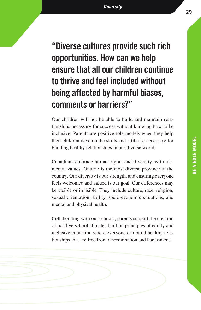*Diversity*

"Diverse cultures provide such rich opportunities. How can we help ensure that all our children continue to thrive and feel included without being affected by harmful biases, comments or barriers?"

Our children will not be able to build and maintain relationships necessary for success without knowing how to be inclusive. Parents are positive role models when they help their children develop the skills and attitudes necessary for building healthy relationships in our diverse world.

Canadians embrace human rights and diversity as fundamental values. Ontario is the most diverse province in the country. Our diversity is our strength, and ensuring everyone feels welcomed and valued is our goal. Our differences may be visible or invisible. They include culture, race, religion, sexual orientation, ability, socio-economic situations, and mental and physical health.

Collaborating with our schools, parents support the creation of positive school climates built on principles of equity and inclusive education where everyone can build healthy relationships that are free from discrimination and harassment.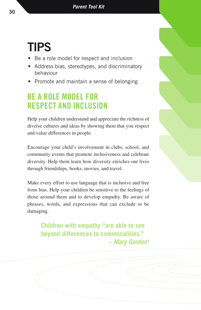# **TIPS**

- Be a role model for respect and inclusion
- Address bias, stereotypes, and discriminatory behaviour
- Promote and maintain a sense of belonging

### BE A ROLE MODEL FOR RESPECT AND INCLUSION

Help your children understand and appreciate the richness of diverse cultures and ideas by showing them that you respect and value differences in people.

Encourage your child's involvement in clubs, school, and community events that promote inclusiveness and celebrate diversity. Help them learn how diversity enriches our lives through friendships, books, movies, and travel.

Make every effort to use language that is inclusive and free from bias. Help your children be sensitive to the feelings of those around them and to develop empathy. Be aware of phrases, words, and expressions that can exclude or be damaging.

> **Children with empathy "are able to see beyond differences to commonalities." –** *Mary Gordon*<sup>1</sup>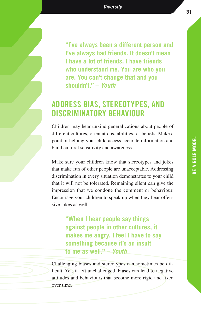*Diversity*

**"I've always been a different person and I've always had friends. It doesn't mean I have a lot of friends. I have friends who understand me. You are who you are. You can't change that and you shouldn't." –** *Youth*

#### ADDRESS BIAS, STEREOTYPES, AND DISCRIMINATORY BEHAVIOUR

Children may hear unkind generalizations about people of different cultures, orientations, abilities, or beliefs. Make a point of helping your child access accurate information and build cultural sensitivity and awareness.

Make sure your children know that stereotypes and jokes that make fun of other people are unacceptable. Addressing discrimination in every situation demonstrates to your child that it will not be tolerated. Remaining silent can give the impression that we condone the comment or behaviour. Encourage your children to speak up when they hear offensive jokes as well.

> **"When I hear people say things against people in other cultures, it makes me angry. I feel I have to say something because it's an insult to me as well." –** *Youth*

Challenging biases and stereotypes can sometimes be difficult. Yet, if left unchallenged, biases can lead to negative attitudes and behaviours that become more rigid and fixed over time.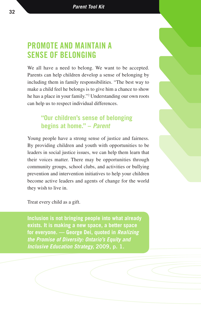#### PROMOTE AND MAINTAIN A SENSE OF BELONGING

We all have a need to belong. We want to be accepted. Parents can help children develop a sense of belonging by including them in family responsibilities. "The best way to make a child feel he belongs is to give him a chance to show he has a place in your family."<sup>2</sup> Understanding our own roots can help us to respect individual differences.

#### **"Our children's sense of belonging begins at home." –** *Parent*

Young people have a strong sense of justice and fairness. By providing children and youth with opportunities to be leaders in social justice issues, we can help them learn that their voices matter. There may be opportunities through community groups, school clubs, and activities or bullying prevention and intervention initiatives to help your children become active leaders and agents of change for the world they wish to live in.

Treat every child as a gift.

**Inclusion is not bringing people into what already exists. It is making a new space, a better space for everyone. — George Dei, quoted in** *Realizing the Promise of Diversity: Ontario's Equity and Inclusive Education Strategy,* **2009, p. 1.**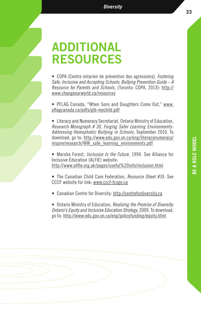# **ADDITIONAL RESOURCES**

• COPA (Centre ontarien de prévention des agressions), Fostering Safe, Inclusive and Accepting Schools: Bullying Prevention Guide – A Resource for Parents and Schools, (Toronto: COPA, 2013): http:// www.changeourworld.ca/resources

[• PFLAG Canada, "When Sons and Daughters Come Out," www.](www.pflagcanada.ca/pdfs/glb-mychild.pdf) pfl agcanada.ca/pdfs/glb-mychild.pdf

• Literacy and Numeracy Secretariat, Ontario Ministry of Education, Research Monograph # 30, Forging Safer Learning Environments-Addressing Homophobic Bullying in Schools, September 2010. To [download, go to: http://www.edu.gov.on.ca/eng/literacynumeracy/](http://www.edu.gov.on.ca/eng/literacynumeracy/inspire/research/WW_safe_learning_environments.pdf) inspire/research/WW\_safe\_learning\_environments.pdf

• Marsha Forest, *Inclusion Is the Future*, 1994. See Alliance for Inclusive Education (ALFIE) website: http://www.allfie.org.uk/pages/useful%20info/inclusion.html

• The Canadian Child Care Federation, Resource Sheet #35. See CCCF website for link: www.cccf-fcsge.ca

• Canadian Centre for Diversity: http://centrefordiversity.ca

• Ontario Ministry of Education, Realizing the Promise of Diversity: Ontario's Equity and Inclusive Education Strategy, 2009. To download, go to: http://www.edu.gov.on.ca/eng/policyfunding/equity.html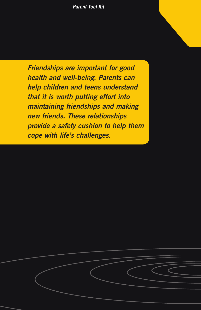*Parent Tool Kit*

*Friendships are important for good health and well-being. Parents can help children and teens understand that it is worth putting effort into maintaining friendships and making new friends. These relationships provide a safety cushion to help them cope with life's challenges.*

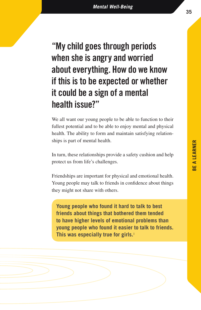"My child goes through periods when she is angry and worried about everything. How do we know if this is to be expected or whether it could be a sign of a mental health issue?"

We all want our young people to be able to function to their fullest potential and to be able to enjoy mental and physical health. The ability to form and maintain satisfying relationships is part of mental health.

In turn, these relationships provide a safety cushion and help protect us from life's challenges.

Friendships are important for physical and emotional health. Young people may talk to friends in confidence about things they might not share with others.

**Young people who found it hard to talk to best friends about things that bothered them tended to have higher levels of emotional problems than young people who found it easier to talk to friends. This was especially true for girls.**<sup>1</sup>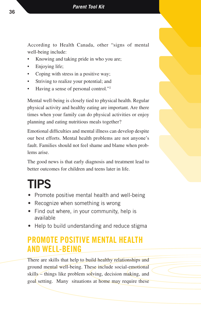According to Health Canada, other "signs of mental well-being include:

- Knowing and taking pride in who you are;
- Enjoying life;
- Coping with stress in a positive way;
- Striving to realize your potential; and
- Having a sense of personal control."2

Mental well-being is closely tied to physical health. Regular physical activity and healthy eating are important. Are there times when your family can do physical activities or enjoy planning and eating nutritious meals together?

Emotional difficulties and mental illness can develop despite our best efforts. Mental health problems are not anyone's fault. Families should not feel shame and blame when problems arise.

The good news is that early diagnosis and treatment lead to better outcomes for children and teens later in life.

# **TIPS**

- Promote positive mental health and well-being
- Recognize when something is wrong
- Find out where, in your community, help is available
- Help to build understanding and reduce stigma

### PROMOTE POSITIVE MENTAL HEALTH AND WELL-BEING

There are skills that help to build healthy relationships and ground mental well-being. These include social-emotional skills – things like problem solving, decision making, and goal setting. Many situations at home may require these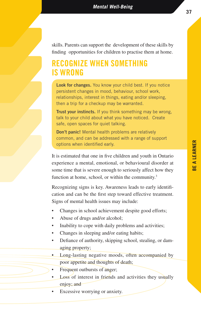skills. Parents can support the development of these skills by finding opportunities for children to practise them at home.

#### RECOGNIZE WHEN SOMETHING IS WRONG

**Look for changes.** You know your child best. If you notice persistent changes in mood, behaviour, school work, relationships, interest in things, eating and/or sleeping, then a trip for a checkup may be warranted.

**Trust your instincts.** If you think something may be wrong, talk to your child about what you have noticed. Create safe, open spaces for quiet talking.

**Don't panic!** Mental health problems are relatively common, and can be addressed with a range of support options when identified early.

It is estimated that one in five children and youth in Ontario experience a mental, emotional, or behavioural disorder at some time that is severe enough to seriously affect how they function at home, school, or within the community.<sup>3</sup>

Recognizing signs is key. Awareness leads to early identification and can be the first step toward effective treatment. Signs of mental health issues may include:

- Changes in school achievement despite good efforts;
- Abuse of drugs and/or alcohol;
- Inability to cope with daily problems and activities;
- Changes in sleeping and/or eating habits;
- Defiance of authority, skipping school, stealing, or damaging property;
- Long-lasting negative moods, often accompanied by poor appetite and thoughts of death;
- Frequent outbursts of anger;
- Loss of interest in friends and activities they usually enjoy; and
- Excessive worrying or anxiety.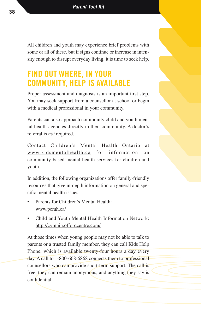All children and youth may experience brief problems with some or all of these, but if signs continue or increase in intensity enough to disrupt everyday living, it is time to seek help.

#### FIND OUT WHERE, IN YOUR COMMUNITY, HELP IS AVAILABLE

Proper assessment and diagnosis is an important first step. You may seek support from a counsellor at school or begin with a medical professional in your community.

Parents can also approach community child and youth mental health agencies directly in their community. A doctor's referral is *not* required.

Contact Children's Mental Health Ontario at www.kidsmentalhealth.ca for information on community-based mental health services for children and youth.

In addition, the following organizations offer family-friendly resources that give in-depth information on general and specific mental health issues:

- Parents for Children's Mental Health: www.pcmh.ca/
- Child and Youth Mental Health Information Network: http://cymhin.offordcentre.com/

At those times when young people may not be able to talk to parents or a trusted family member, they can call Kids Help Phone, which is available twenty-four hours a day every day. A call to 1-800-668-6868 connects them to professional counsellors who can provide short-term support. The call is free, they can remain anonymous, and anything they say is confi dential.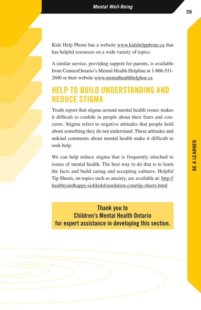Kids Help Phone has a website www.kidshelpphone.ca that has helpful resources on a wide variety of topics.

A similar service, providing support for parents, is available from ConnexOntario's Mental Health Helpline at 1-866-531- 2600 or their website www.mentalhealthhelpline.ca

#### HELP TO BUILD UNDERSTANDING AND REDUCE STIGMA

Youth report that stigma around mental health issues makes it difficult to confide in people about their fears and concerns. Stigma refers to negative attitudes that people hold about something they do not understand. These attitudes and unkind comments about mental health make it difficult to seek help.

We can help reduce stigma that is frequently attached to issues of mental health. The best way to do that is to learn the facts and build caring and accepting cultures. Helpful Tip Sheets, on topics such as anxiety, are available at: http:// healthyandhappy.sickkidsfoundation.com/tip-sheets.html

Thank you to Children's Mental Health Ontario for expert assistance in developing this section.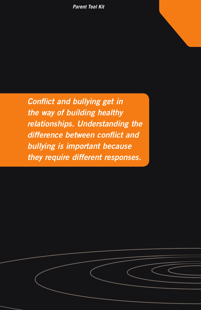*Parent Tool Kit*

*Conflict and bullying get in the way of building healthy relationships. Understanding the difference between confl ict and bullying is important because they require different responses.*

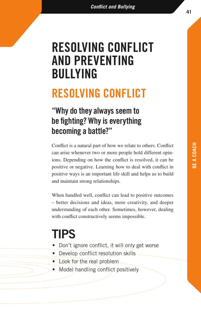### RESOLVING CONFLICT AND PREVENTING BULLYING

### RESOLVING CONFLICT

### "Why do they always seem to be fighting? Why is everything becoming a battle?"

Conflict is a natural part of how we relate to others. Conflict can arise whenever two or more people hold different opinions. Depending on how the conflict is resolved, it can be positive or negative. Learning how to deal with conflict in positive ways is an important life skill and helps us to build and maintain strong relationships.

When handled well, conflict can lead to positive outcomes – better decisions and ideas, more creativity, and deeper understanding of each other. Sometimes, however, dealing with conflict constructively seems impossible.

# **TIPS**

- Don't ignore conflict, it will only get worse
- Develop conflict resolution skills
- Look for the real problem
- Model handling conflict positively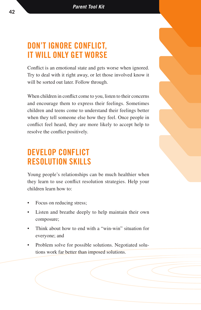#### DON'T IGNORE CONFLICT, IT WILL ONLY GET WORSE

Conflict is an emotional state and gets worse when ignored. Try to deal with it right away, or let those involved know it will be sorted out later. Follow through.

When children in conflict come to you, listen to their concerns and encourage them to express their feelings. Sometimes children and teens come to understand their feelings better when they tell someone else how they feel. Once people in conflict feel heard, they are more likely to accept help to resolve the conflict positively.

### DEVELOP CONFLICT RESOLUTION SKILLS

Young people's relationships can be much healthier when they learn to use conflict resolution strategies. Help your children learn how to:

- Focus on reducing stress;
- Listen and breathe deeply to help maintain their own composure;
- Think about how to end with a "win-win" situation for everyone; and
- Problem solve for possible solutions. Negotiated solutions work far better than imposed solutions.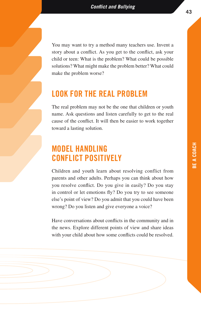You may want to try a method many teachers use. Invent a story about a conflict. As you get to the conflict, ask your child or teen: What is the problem? What could be possible solutions? What might make the problem better? What could make the problem worse?

#### LOOK FOR THE REAL PROBLEM

The real problem may not be the one that children or youth name. Ask questions and listen carefully to get to the real cause of the conflict. It will then be easier to work together toward a lasting solution.

#### MODEL HANDLING CONFLICT POSITIVELY

Children and youth learn about resolving conflict from parents and other adults. Perhaps you can think about how you resolve conflict. Do you give in easily? Do you stay in control or let emotions fly? Do you try to see someone else's point of view? Do you admit that you could have been wrong? Do you listen and give everyone a voice?

Have conversations about conflicts in the community and in the news. Explore different points of view and share ideas with your child about how some conflicts could be resolved. **BE A COACH**

BE A COACH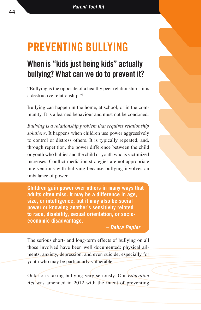### PREVENTING BULLYING

### When is "kids just being kids" actually bullying? What can we do to prevent it?

"Bullying is the opposite of a healthy peer relationship – it is a destructive relationship."1

Bullying can happen in the home, at school, or in the community. It is a learned behaviour and must not be condoned.

*Bullying is a relationship problem that requires relationship solutions*. It happens when children use power aggressively to control or distress others. It is typically repeated, and, through repetition, the power difference between the child or youth who bullies and the child or youth who is victimized increases. Conflict mediation strategies are not appropriate interventions with bullying because bullying involves an imbalance of power.

**Children gain power over others in many ways that adults often miss. It may be a difference in age, size, or intelligence, but it may also be social power or knowing another's sensitivity related to race, disability, sexual orientation, or socioeconomic disadvantage.**

*– Debra Pepler*

The serious short- and long-term effects of bullying on all those involved have been well documented: physical ailments, anxiety, depression, and even suicide, especially for youth who may be particularly vulnerable.

Ontario is taking bullying very seriously. Our *Education Act* was amended in 2012 with the intent of preventing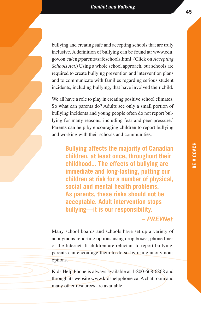bullying and creating safe and accepting schools that are truly inclusive. A definition of bullying can be found at: www.edu. gov.on.ca/eng/parents/safeschools.html (Click on *Accepting Schools Act*.) Using a whole school approach, our schools are required to create bullying prevention and intervention plans and to communicate with families regarding serious student incidents, including bullying, that have involved their child.

We all have a role to play in creating positive school climates. So what can parents do? Adults see only a small portion of bullying incidents and young people often do not report bullying for many reasons, including fear and peer pressure.<sup>2</sup> Parents can help by encouraging children to report bullying and working with their schools and communities.

> **Bullying affects the majority of Canadian children, at least once, throughout their childhood... The effects of bullying are immediate and long-lasting, putting our children at risk for a number of physical, social and mental health problems. As parents, these risks should not be acceptable. Adult intervention stops bullying—it is our responsibility.**

#### *– PREVNet*<sup>3</sup>

Many school boards and schools have set up a variety of anonymous reporting options using drop boxes, phone lines or the Internet. If children are reluctant to report bullying, parents can encourage them to do so by using anonymous options.

Kids Help Phone is always available at 1-800-668-6868 and through its website www.kidshelpphone.ca. A chat room and many other resources are available.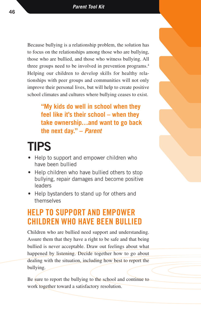Because bullying is a relationship problem, the solution has to focus on the relationships among those who are bullying, those who are bullied, and those who witness bullying. All three groups need to be involved in prevention programs.<sup>4</sup> Helping our children to develop skills for healthy relationships with peer groups and communities will not only improve their personal lives, but will help to create positive school climates and cultures where bullying ceases to exist.

> **"My kids do well in school when they feel like it's their school – when they take ownership…and want to go back the next day." –** *Parent*

# **TIPS**

- Help to support and empower children who have been bullied
- Help children who have bullied others to stop bullying, repair damages and become positive leaders
- Help bystanders to stand up for others and themselves

#### HELP TO SUPPORT AND EMPOWER CHILDREN WHO HAVE BEEN BULLIED

Children who are bullied need support and understanding. Assure them that they have a right to be safe and that being bullied is never acceptable. Draw out feelings about what happened by listening. Decide together how to go about dealing with the situation, including how best to report the bullying.

Be sure to report the bullying to the school and continue to work together toward a satisfactory resolution.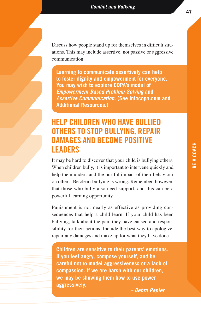Discuss how people stand up for themselves in difficult situations. This may include assertive, not passive or aggressive communication.

**Learning to communicate assertively can help to foster dignity and empowerment for everyone. You may wish to explore COPA's model of** *Empowerment-Based Problem-Solving* **and** *Assertive Communication***. (See infocopa.com and Additional Resources.)**

#### HELP CHILDREN WHO HAVE BULLIED OTHERS TO STOP BULLYING, REPAIR DAMAGES AND BECOME POSITIVE LEADERS

It may be hard to discover that your child is bullying others. When children bully, it is important to intervene quickly and help them understand the hurtful impact of their behaviour on others. Be clear: bullying is wrong. Remember, however, that those who bully also need support, and this can be a powerful learning opportunity.

Punishment is not nearly as effective as providing consequences that help a child learn. If your child has been bullying, talk about the pain they have caused and responsibility for their actions. Include the best way to apologize, repair any damages and make up for what they have done.

**Children are sensitive to their parents' emotions. If you feel angry, compose yourself, and be careful not to model aggressiveness or a lack of compassion. If we are harsh with our children, we may be showing them how to use power aggressively.** *– Debra Pepler*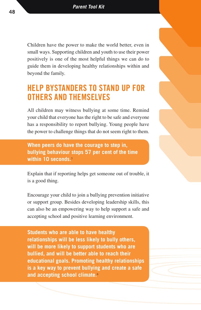Children have the power to make the world better, even in small ways. Supporting children and youth to use their power positively is one of the most helpful things we can do to guide them in developing healthy relationships within and beyond the family.

#### HELP BYSTANDERS TO STAND UP FOR OTHERS AND THEMSELVES

All children may witness bullying at some time. Remind your child that everyone has the right to be safe and everyone has a responsibility to report bullying. Young people have the power to challenge things that do not seem right to them.

**When peers do have the courage to step in, bullying behaviour stops 57 per cent of the time within 10 seconds.**<sup>5</sup>

Explain that if reporting helps get someone out of trouble, it is a good thing.

Encourage your child to join a bullying prevention initiative or support group. Besides developing leadership skills, this can also be an empowering way to help support a safe and accepting school and positive learning environment.

**Students who are able to have healthy relationships will be less likely to bully others, will be more likely to support students who are bullied, and will be better able to reach their educational goals. Promoting healthy relationships is a key way to prevent bullying and create a safe and accepting school climate.**<sup>6</sup>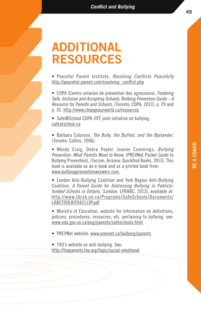# **ADDITIONAL RESOURCES**

• Peaceful Parent Institute, Resolving Conflicts Peacefully http://peaceful-parent.com/resolving\_conflict.php

• COPA (Centre ontarien de prévention des agressions). Fostering Safe, Inclusive and Accepting Schools: Bullying Prevention Guide – A Resource for Parents and Schools, (Toronto: COPA, 2013), p. 29 and p. 35. http://www.changeourworld.ca/resources

• Safe@School COPA-OTF joint initiative on bullying: [safeatschool.ca](www.safeatschool.ca)

• Barbara Coloroso, The Bully, the Bullied, and the Bystander, (Toronto: Collins, 2006).

• Wendy Craig, Debra Pepler, Joanne Cummings, Bullying Prevention: What Parents Need to Know, (PREVNet Pocket Guide to Bullying Prevention), (Tucson, Arizona: Quickfind Books, 2013), This book is available as an e-book and as a printed book from: www.bullyingpreventionanswers.com.

• London Anti-Bullying Coalition and York Region Anti-Bullying Coalition, A Parent Guide for Addressing Bullying in Publiclyfunded Schools in Ontario, (London: LYRABC, 2013), available at: [http://www.ldcsb.on.ca/Programs/SafeSchools/Documents/](http://www.ldcsb.on.ca/Programs/SafeSchools/Documents/LABCTOOLKIT042113P.pdf) LABCTOOLKIT042113P.pdf

• Ministry of Education, website for information on definitions, policies, procedures, resources, etc. pertaining to bullying, see: www.edu.gov.on.ca/eng/parents/safeschools.html

• PREVNet website: www.prevnet.ca/bullying/parents

• TVO's website on anti-bullying. See: http://tvoparents.tvo.org/topic/social-emotional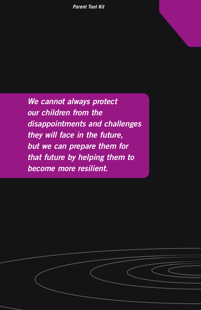*Parent Tool Kit*

*We cannot always protect our children from the disappointments and challenges they will face in the future, but we can prepare them for that future by helping them to become more resilient.*

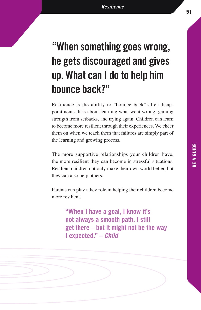# "When something goes wrong, he gets discouraged and gives up. What can I do to help him bounce back?"

Resilience is the ability to "bounce back" after disappointments. It is about learning what went wrong, gaining strength from setbacks, and trying again. Children can learn to become more resilient through their experiences. We cheer them on when we teach them that failures are simply part of the learning and growing process.

The more supportive relationships your children have, the more resilient they can become in stressful situations. Resilient children not only make their own world better, but they can also help others.

Parents can play a key role in helping their children become more resilient.

> **"When I have a goal, I know it's not always a smooth path. I still get there – but it might not be the way I expected." –** *Child*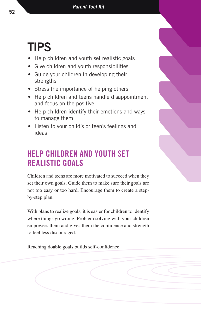# **TIPS**

- Help children and youth set realistic goals
- Give children and youth responsibilities
- Guide your children in developing their strengths
- Stress the importance of helping others
- Help children and teens handle disappointment and focus on the positive
- Help children identify their emotions and ways to manage them
- Listen to your child's or teen's feelings and ideas

### HELP CHILDREN AND YOUTH SET REALISTIC GOALS

Children and teens are more motivated to succeed when they set their own goals. Guide them to make sure their goals are not too easy or too hard. Encourage them to create a stepby-step plan.

With plans to realize goals, it is easier for children to identify where things go wrong. Problem solving with your children empowers them and gives them the confidence and strength to feel less discouraged.

Reaching doable goals builds self-confidence.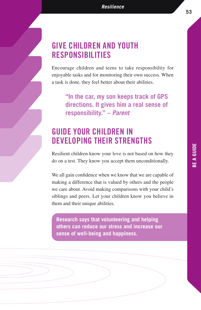### GIVE CHILDREN AND YOUTH RESPONSIBILITIES

Encourage children and teens to take responsibility for enjoyable tasks and for monitoring their own success. When a task is done, they feel better about their abilities.

> **"In the car, my son keeps track of GPS directions. It gives him a real sense of responsibility." –** *Parent*

### GUIDE YOUR CHILDREN IN DEVELOPING THEIR STRENGTHS

Resilient children know your love is not based on how they do on a test. They know you accept them unconditionally.

We all gain confidence when we know that we are capable of making a difference that is valued by others and the people we care about. Avoid making comparisons with your child's siblings and peers. Let your children know you believe in them and their unique abilities.

**Research says that volunteering and helping others can reduce our stress and increase our sense of well-being and happiness.**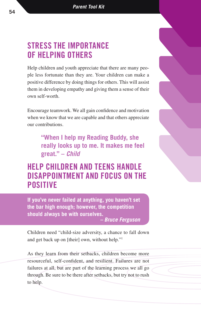#### STRESS THE IMPORTANCE OF HELPING OTHERS

Help children and youth appreciate that there are many people less fortunate than they are. Your children can make a positive difference by doing things for others. This will assist them in developing empathy and giving them a sense of their own self-worth.

Encourage teamwork. We all gain confidence and motivation when we know that we are capable and that others appreciate our contributions.

> **"When I help my Reading Buddy, she really looks up to me. It makes me feel great." –** *Child*

#### HELP CHILDREN AND TEENS HANDLE DISAPPOINTMENT AND FOCUS ON THE POSITIVE

**If you've never failed at anything, you haven't set the bar high enough; however, the competition should always be with ourselves.**

*– Bruce Ferguson*

Children need "child-size adversity, a chance to fall down and get back up on [their] own, without help."<sup>1</sup>

As they learn from their setbacks, children become more resourceful, self-confident, and resilient. Failures are not failures at all, but are part of the learning process we all go through. Be sure to be there after setbacks, but try not to rush to help.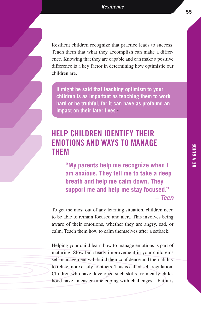Resilient children recognize that practice leads to success. Teach them that what they accomplish can make a difference. Knowing that they are capable and can make a positive difference is a key factor in determining how optimistic our children are.

**It might be said that teaching optimism to your children is as important as teaching them to work hard or be truthful, for it can have as profound an impact on their later lives.**<sup>2</sup>

#### HELP CHILDREN IDENTIFY THEIR EMOTIONS AND WAYS TO MANAGE THEM

**"My parents help me recognize when I am anxious. They tell me to take a deep breath and help me calm down. They support me and help me stay focused."** *– Teen*

To get the most out of any learning situation, children need to be able to remain focused and alert. This involves being aware of their emotions, whether they are angry, sad, or calm. Teach them how to calm themselves after a setback.

Helping your child learn how to manage emotions is part of maturing. Slow but steady improvement in your children's self-management will build their confidence and their ability to relate more easily to others. This is called self-regulation. Children who have developed such skills from early childhood have an easier time coping with challenges – but it is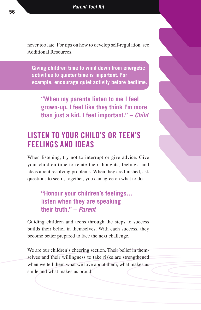never too late. For tips on how to develop self-regulation, see Additional Resources.

**Giving children time to wind down from energetic activities to quieter time is important. For example, encourage quiet activity before bedtime.**

**"When my parents listen to me I feel grown-up. I feel like they think I'm more than just a kid. I feel important." –** *Child*

#### LISTEN TO YOUR CHILD'S OR TEEN'S FEELINGS AND IDEAS

When listening, try not to interrupt or give advice. Give your children time to relate their thoughts, feelings, and ideas about resolving problems. When they are finished, ask questions to see if, together, you can agree on what to do.

#### **"Honour your children's feelings… listen when they are speaking their truth." –** *Parent*

Guiding children and teens through the steps to success builds their belief in themselves. With each success, they become better prepared to face the next challenge.

We are our children's cheering section. Their belief in themselves and their willingness to take risks are strengthened when we tell them what we love about them, what makes us smile and what makes us proud.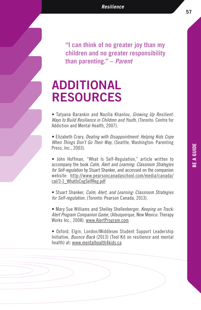**"I can think of no greater joy than my children and no greater responsibility than parenting." –** *Parent*

### **ADDITIONAL RESOURCES**

• Tatyana Barankin and Nazilla Khanlou, Growing Up Resilient: Ways to Build Resilience in Children and Youth, (Toronto: Centre for Addiction and Mental Health, 2007).

• Elizabeth Crary, Dealing with Disappointment: Helping Kids Cope When Things Don't Go Their Way, (Seattle, Washington: Parenting Press, Inc., 2003).

• John Hoffman, "What Is Self-Regulation," article written to accompany the book Calm, Alert and Learning: Classroom Strategies for Self-regulation by Stuart Shanker, and accessed on the companion website: [http://www.pearsoncanadaschool.com/media/canada/](http://www.pearsoncanadaschool.com/media/canada/cal/3-1_WhatIsCogSelfReg.pdf) cal/3-1\_WhatIsCogSelfReg.pdf

• Stuart Shanker, Calm, Alert, and Learning: Classroom Strategies for Self-regulation, (Toronto: Pearson Canada, 2013).

• Mary Sue Williams and Shelley Shellenberger, Keeping on Track: Alert Program Companion Game, (Albuquerque, New Mexico: Therapy Works Inc., 2008). www.AlertProgram.com

• Oxford, Elgin, London/Middlesex Student Support Leadership Initiative, Bounce Back (2013) (Tool Kit on resilience and mental health) at: www.mentalhealth4kids.ca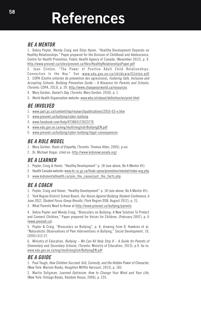# **References**

#### BE A MENTOR

1. Debra Pepler, Wendy Craig and Dilys Haner, "Healthy Development Depends on Healthy Relationships." Paper prepared for the Division of Childhood and Adolescence, Centre for Health Promotion, Public Health Agency of Canada. (November 2012), p. 9 . [http://www.prevnet.ca/sites/prevnet.ca/fi les/HealthyRelationshipsPaper.pdf](http://www.prevnet.ca/sites/prevnet.ca/files/HealthyRelationshipsPaper.pdf)

2. Jean Clinton, "The Power of Positive Adult Child Relationships: Connection Is the Key." See www.edu.gov.on.ca/childcare/Clinton.pdf 3. COPA (Centre ontarien de prévention des agressions), Fostering Safe, Inclusive and Accepting Schools, Bullying Prevention Guide – A Resource for Parents and Schools, (Toronto: COPA, 2013), p. 20. http://www.changeourworld.ca/resources

- 4. Mary Gordon, Daniel's Day, (Toronto: Mary Gordon, 2010), p. 1.
- 5. World Health Organization website: www.who.int/about/definition/en/print.html

#### BE INVOLVED

- 1. www.parl.gc.ca/content/lop/researchpublications/2010-03-e.htm
- 2. www.prevnet.ca/bullying/cyber-bullying
- 3. www.facebook.com/help/473865172623776
- 4. www.edu.gov.on.ca/eng/multi/english/BullyingEN.pdf
- 5. www.prevnet.ca/bullying/cyber-bullying/legal-consequences

#### BE A ROLE MODEL

- 1. Mary Gordon, Roots of Empathy, (Toronto: Thomas Allen, 2005), p.xvi.
- 2. Dr. Michael Ungar, cited on: http://www.kidsnowcanada.org/

#### BE A LEARNER

- 1. Pepler, Craig & Haner, "Healthy Development" p. 18 (see above, Be A Mentor #1).
- 2. Health Canada website: www.hc-sc.gc.ca/fniah-spnia/promotion/mental/index-eng.php
- 3. www.kidsmentalhealth.ca/join\_the\_cause/just\_the\_facts.php

#### BE A COACH

1. Pepler, Craig and Haner, "Healthy Development" p. 18 (see above, Be A Mentor #1).

2. York Region District School Board, Our Voices Against Bullying Student Conference, 6 June 2012, Student Focus Group Results, (York Region DSB, August 2012), p. 21.

3. What Parents Need to Know at http://www.prevnet.ca/bullying/parents

4. Debra Pepler and Wendy Craig, "Binoculars on Bullying: A New Solution To Protect and Connect Children," Paper prepared for Voices for Children, (February 2007), p. 6 (www.prevnet.ca).

5. Pepler & Craig, "Binoculars on Bullying", p. 8, drawing from D. Hawkins et al, "Naturalistic Observations of Peer Interventions in Bullying," Social Development, 10, (2001):512-27.

6. Ministry of Education, Bullying – We Can All Help Stop It – A Guide for Parents of Elementary and Secondary Schools, (Toronto: Ministry of Education, 2013), p.9. Go to: www.edu.gov.on.ca/eng/multi/english/BullyingEN.pdf

#### BE A GUIDE

1. Paul Tough, How Children Succeed: Grit, Curiosity, and the Hidden Power of Character, (New York: Mariner Books, Houghton Mifflin Harcourt, 2013), p. 183.

2. Martin Seligman, Learned Optimism: How to Change Your Mind and Your Life, (New York: Vintage Books, Random House, 2006), p. 235.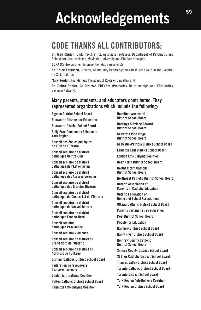# **Acknowledgements**

### CODE THANKS ALL CONTRIBUTORS:

Dr. Jean Clinton, Child Psychiatrist, Associate Professor, Department of Psychiatry and Behavioural Neuroscience, McMaster University and Children's Hospital;

COPA (Centre ontarien de prévention des agressions);

Dr. Bruce Ferguson, Director, Community Health Systems Resource Group at the Hospital for Sick Children;

Mary Gordon, Founder and President of Roots of Empathy; and

Dr. Debra Pepler, Co-Director, PREVNet (Promoting Relationships and Eliminating Violence Network).

#### Many parents, students, and educators contributed. They represented organizations which include the following:

Algoma District School Board

Bluewater Citizens for Education

Bluewater District School Board

Bully Free Community Alliance of York Region

Conseil des écoles publiques de l'Est de l'Ontario

Conseil scolaire de district catholique Centre-Sud

Conseil scolaire de district catholique de l'Est ontarien

Conseil scolaire de district catholique des Aurores boréales

Conseil scolaire de district catholique des Grandes Rivières

Conseil scolaire de district catholique du Centre-Est de l'Ontario

Conseil scolaire de district catholique du Nouvel-Ontario

Conseil scolaire de district catholique Franco-Nord

Conseil scolaire catholique Providence

Conseil scolaire Viamonde

Conseil scolaire de district du Grand Nord de l'Ontario

Conseil scolaire de district du Nord-Est de l'Ontario

Durham Catholic District School Board

Fédération de la jeunesse franco-ontarienne

Guelph Anti-bullying Coalition

Halton Catholic District School Board

Hamilton Anti-Bullying Coalition

Hamilton-Wentworth District School Board

Hastings & Prince Edward District School Board

Kawartha Pine Ridge District School Board

Keewatin-Patricia District School Board

Lambton Kent District School Board

London Anti-Bullying Coalition

Near North District School Board

Northeastern Catholic District School Board

Northwest Catholic District School Board

Ontario Association of Parents in Catholic Education

Ontario Federation of Home and School Associations

Ottawa Catholic District School Board

Parents partenaires en éducation

Peel District School Board

People for Education

Rainbow District School Board

Rainy River District School Board

Renfrew County Catholic District School Board

Simcoe County District School Board

St Clair Catholic District School Board

Thames Valley District School Board

Toronto Catholic District School Board

Toronto District School Board

York Region Anti-Bullying Coalition

York Region District School Board